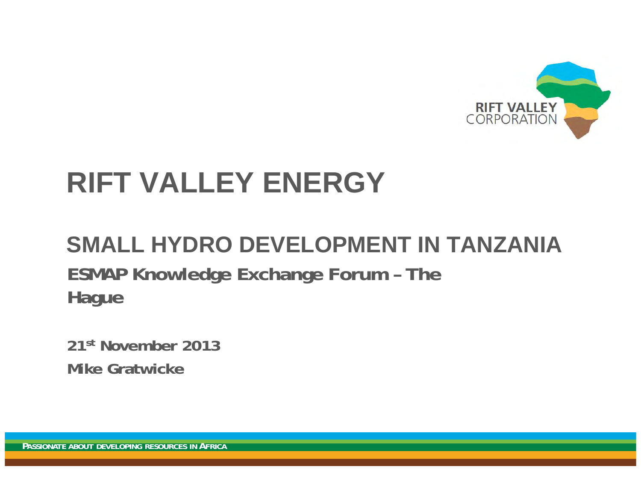

# **RIFT VALLEY ENERGY**

# **SMALL HYDRO DEVELOPMENT IN TANZANIAESMAP Knowledge Exchange Forum – The Hague**

**21st November 2013Mike Gratwicke**

**PASSIONATE ABOUT DEVELOPING RESOURCES INAFRICA**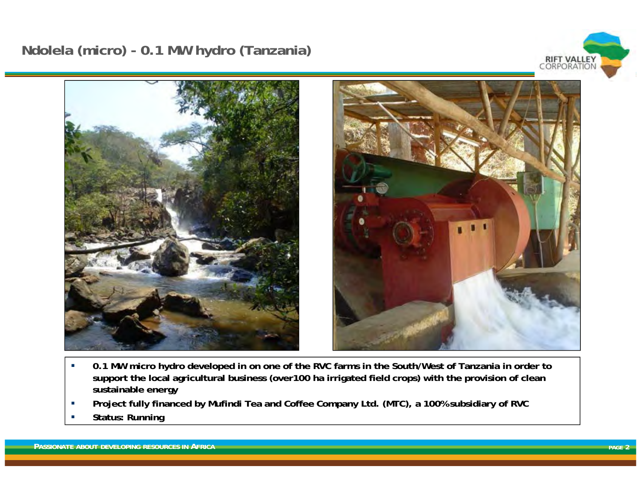## **Ndolela (micro) - 0.1 MW hydro (Tanzania)**





- $\mathcal{L}_{\mathcal{A}}$  **0.1 MW micro hydro developed in on one of the RVC farms in the South/West of Tanzania in order to support the local agricultural business (over100 ha irrigated field crops) with the provision of clean sustainable energy**
- $\overline{\phantom{a}}$ **Project fully financed by Mufindi Tea and Coffee Company Ltd. (MTC), a 100% subsidiary of RVC**
- ٠ **Status: Running**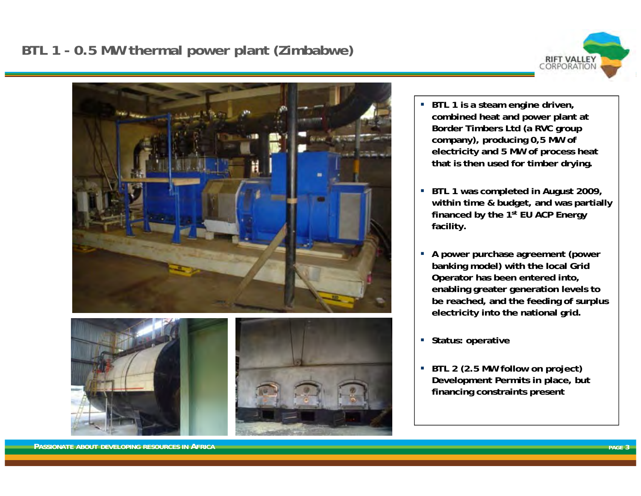# **BTL 1 - 0.5 MW thermal power plant (Zimbabwe)**





- $\blacksquare$  **BTL 1 is a steam engine driven, combined heat and power plant at Border Timbers Ltd (a RVC group company), producing 0,5 MW of electricity and 5 MW of process heat that is then used for timber drying.**
- **BTL 1 was completed in August 2009, within time & budget, and was partially financed by the 1st EU ACP Energy facility.**
- **A power purchase agreement (power banking model) with the local Grid Operator has been entered into, enabling greater generation levels to be reached, and the feeding of surplus electricity into the national grid.**
- **Status: operative**
- **BTL 2 (2.5 MW follow on project) Development Permits in place, but financing constraints present**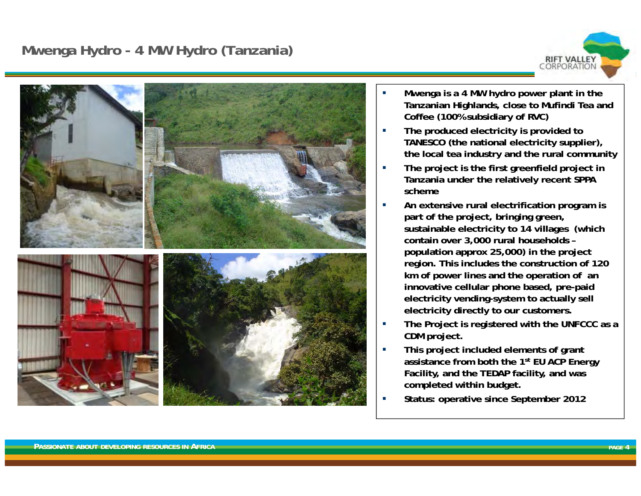#### **Mwenga Hydro - 4 MW Hydro (Tanzania)**





- П **Mwenga is a 4 MW hydro power plant in the Tanzanian Highlands, close to Mufindi Tea and Coffee (100% subsidiary of RVC)**
- n. **The produced electricity is provided to TANESCO (the national electricity supplier), the local tea industry and the rural community**
- П **The project is the first greenfield project in Tanzania under the relatively recent SPPA scheme**
- П **An extensive rural electrification program is part of the project, bringing green, sustainable electricity to 14 villages (which contain over 3,000 rural households – population approx 25,000) in the project region. This includes the construction of 120 km of power lines and the operation of an innovative cellular phone based, pre-paid electricity vending-system to actually sell electricity directly to our customers.**
- П **The Project is registered with the UNFCCC as a CDM project.**
- П **This project included elements of grant assistance from both the 1st EU ACP Energy Facility, and the TEDAP facility, and was completed within budget.**
- П **Status: operative since September 2012**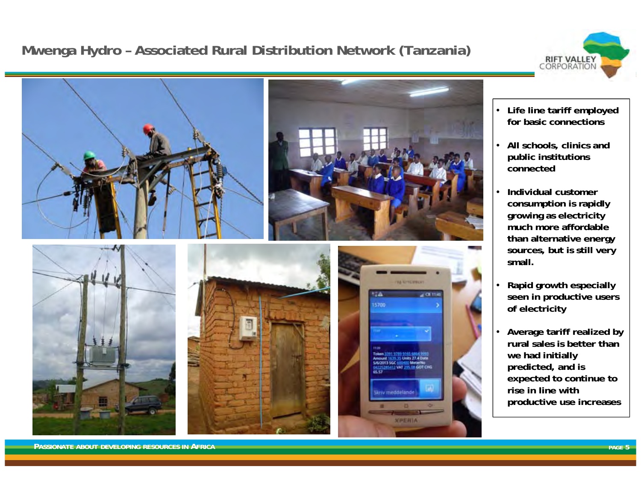# **Mwenga Hydro – Associated Rural Distribution Network (Tanzania)**





- **Life line tariff employed for basic connections**
- **All schools, clinics and public institutions connected**
- **Individual customer consumption is rapidly growing as electricity much more affordable than alternative energy sources, but is still very small.**
- **Rapid growth especially seen in productive users of electricity**
- **Average tariff realized by rural sales is better than we had initially predicted, and is expected to continue to rise in line with productive use increases**

**PASSIONATE ABOUT DEVELOPING RESOURCES IN AFRICA**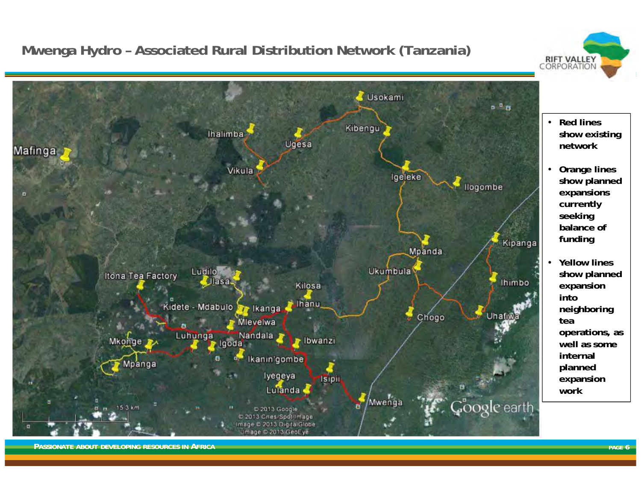# **Mwenga Hydro – Associated Rural Distribution Network (Tanzania)**



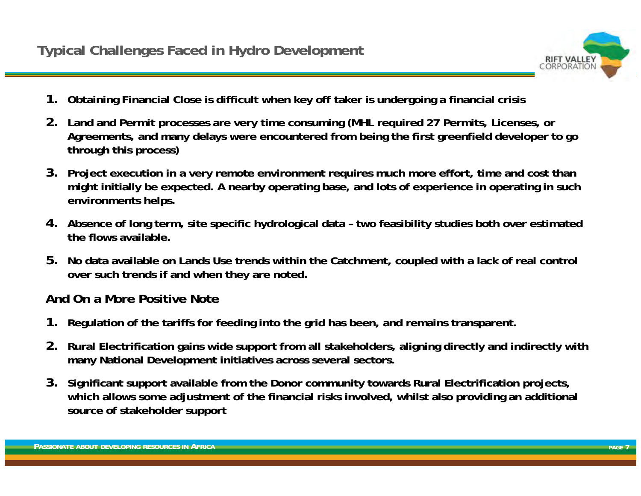

- **1. Obtaining Financial Close is difficult when key off taker is undergoing a financial crisis**
- **2. Land and Permit processes are very time consuming (MHL required 27 Permits, Licenses, or Agreements, and many delays were encountered from being the first greenfield developer to go through this process)**
- **3. Project execution in a very remote environment requires much more effort, time and cost than might initially be expected. A nearby operating base, and lots of experience in operating in such environments helps.**
- **4. Absence of long term, site specific hydrological data – two feasibility studies both over estimated the flows available.**
- **5. No data available on Lands Use trends within the Catchment, coupled with a lack of real control over such trends if and when they are noted.**

#### **And On a More Positive Note**

- **1. Regulation of the tariffs for feeding into the grid has been, and remains transparent.**
- **2. Rural Electrification gains wide support from all stakeholders, aligning directly and indirectly with many National Development initiatives across several sectors.**
- **3. Significant support available from the Donor community towards Rural Electrification projects, which allows some adjustment of the financial risks involved, whilst also providing an additional source of stakeholder support**